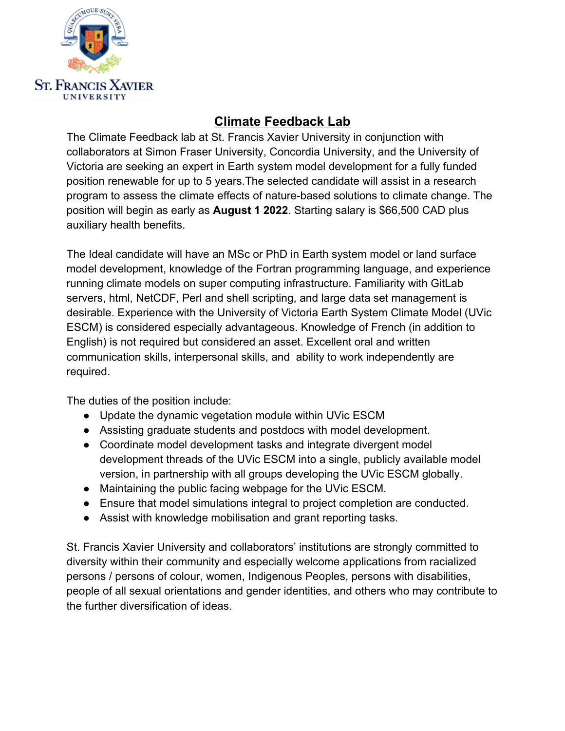

## **Climate Feedback Lab**

The Climate Feedback lab at St. Francis Xavier University in conjunction with collaborators at Simon Fraser University, Concordia University, and the University of Victoria are seeking an expert in Earth system model development for a fully funded position renewable for up to 5 years.The selected candidate will assist in a research program to assess the climate effects of nature-based solutions to climate change. The position will begin as early as **August 1 2022**. Starting salary is \$66,500 CAD plus auxiliary health benefits.

The Ideal candidate will have an MSc or PhD in Earth system model or land surface model development, knowledge of the Fortran programming language, and experience running climate models on super computing infrastructure. Familiarity with GitLab servers, html, NetCDF, Perl and shell scripting, and large data set management is desirable. Experience with the University of Victoria Earth System Climate Model (UVic ESCM) is considered especially advantageous. Knowledge of French (in addition to English) is not required but considered an asset. Excellent oral and written communication skills, interpersonal skills, and ability to work independently are required.

The duties of the position include:

- Update the dynamic vegetation module within UVic ESCM
- Assisting graduate students and postdocs with model development.
- Coordinate model development tasks and integrate divergent model development threads of the UVic ESCM into a single, publicly available model version, in partnership with all groups developing the UVic ESCM globally.
- Maintaining the public facing webpage for the UVic ESCM.
- Ensure that model simulations integral to project completion are conducted.
- Assist with knowledge mobilisation and grant reporting tasks.

St. Francis Xavier University and collaborators' institutions are strongly committed to diversity within their community and especially welcome applications from racialized persons / persons of colour, women, Indigenous Peoples, persons with disabilities, people of all sexual orientations and gender identities, and others who may contribute to the further diversification of ideas.